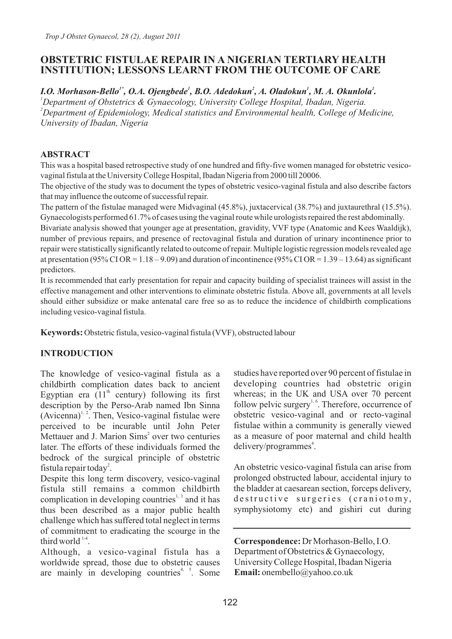# **OBSTETRIC FISTULAE REPAIR IN A NIGERIAN TERTIARY HEALTH INSTITUTION; LESSONS LEARNT FROM THE OUTCOME OF CARE**

*1\* 1 2 1 1 I.O. Morhason-Bello , O.A. Ojengbede , B.O. Adedokun , A. Oladokun , M. A. Okunlola . <sup>1</sup>Department of Obstetrics & Gynaecology, University College Hospital, Ibadan, Nigeria. <sup>2</sup>Department of Epidemiology, Medical statistics and Environmental health, College of Medicine, University of Ibadan, Nigeria*

### **ABSTRACT**

This was a hospital based retrospective study of one hundred and fifty-five women managed for obstetric vesicovaginal fistula at the University College Hospital, Ibadan Nigeria from 2000 till 20006.

The objective of the study was to document the types of obstetric vesico-vaginal fistula and also describe factors that may influence the outcome of successful repair.

The pattern of the fistulae managed were Midvaginal (45.8%), juxtacervical (38.7%) and juxtaurethral (15.5%). Gynaecologists performed 61.7% of cases using the vaginal route while urologists repaired the rest abdominally.

Bivariate analysis showed that younger age at presentation, gravidity, VVF type (Anatomic and Kees Waaldijk), number of previous repairs, and presence of rectovaginal fistula and duration of urinary incontinence prior to repair were statistically significantly related to outcome of repair. Multiple logistic regression models revealed age at presentation (95% CI OR =  $1.18 - 9.09$ ) and duration of incontinence (95% CI OR =  $1.39 - 13.64$ ) as significant predictors.

It is recommended that early presentation for repair and capacity building of specialist trainees will assist in the effective management and other interventions to eliminate obstetric fistula. Above all, governments at all levels should either subsidize or make antenatal care free so as to reduce the incidence of childbirth complications including vesico-vaginal fistula.

**Keywords:** Obstetric fistula, vesico-vaginal fistula (VVF), obstructed labour

# **INTRODUCTION**

The knowledge of vesico-vaginal fistula as a childbirth complication dates back to ancient Egyptian era  $(11<sup>th</sup>$  century) following its first description by the Perso-Arab named Ibn Sinna  $(Avicenna)^{1, 2}$ . Then, Vesico-vaginal fistulae were perceived to be incurable until John Peter Mettauer and J. Marion Sims<sup>2</sup> over two centuries later. The efforts of these individuals formed the bedrock of the surgical principle of obstetric fistula repair today<sup>2</sup>.

Despite this long term discovery, vesico-vaginal fistula still remains a common childbirth complication in developing countries<sup> $1, 3$ </sup> and it has thus been described as a major public health challenge which has suffered total neglect in terms of commitment to eradicating the scourge in the third world  $1-4$ .

Although, a vesico-vaginal fistula has a worldwide spread, those due to obstetric causes are mainly in developing countries<sup>4, 5</sup>. Some studies have reported over 90 percent of fistulae in developing countries had obstetric origin whereas; in the UK and USA over 70 percent follow pelvic surgery<sup>1, 6</sup>. Therefore, occurrence of obstetric vesico-vaginal and or recto-vaginal fistulae within a community is generally viewed as a measure of poor maternal and child health delivery/programmes<sup>4</sup>.

An obstetric vesico-vaginal fistula can arise from prolonged obstructed labour, accidental injury to the bladder at caesarean section, forceps delivery, destructive surgeries (craniotomy, symphysiotomy etc) and gishiri cut during

**Correspondence:** Dr Morhason-Bello, I.O. Department of Obstetrics & Gynaecology, University College Hospital, Ibadan Nigeria **Email:** onembello@yahoo.co.uk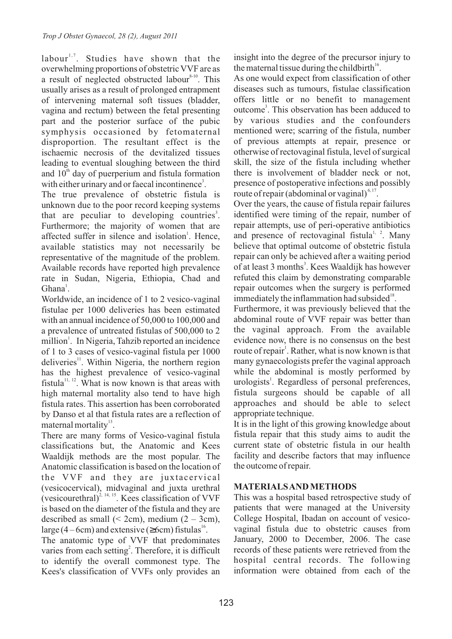labour<sup>1,7</sup>. Studies have shown that the overwhelming proportions of obstetric VVF are as a result of neglected obstructed labour<sup>8-10</sup>. This usually arises as a result of prolonged entrapment of intervening maternal soft tissues (bladder, vagina and rectum) between the fetal presenting part and the posterior surface of the pubic symphysis occasioned by fetomaternal disproportion. The resultant effect is the ischaemic necrosis of the devitalized tissues leading to eventual sloughing between the third and  $10<sup>th</sup>$  day of puerperium and fistula formation with either urinary and or faecal incontinence<sup>3</sup>.

The true prevalence of obstetric fistula is unknown due to the poor record keeping systems that are peculiar to developing countries<sup>3</sup>. Furthermore; the majority of women that are affected suffer in silence and isolation<sup>1</sup>. Hence, available statistics may not necessarily be representative of the magnitude of the problem. Available records have reported high prevalence rate in Sudan, Nigeria, Ethiopia, Chad and  $Ghana<sup>1</sup>$ .

Worldwide, an incidence of 1 to 2 vesico-vaginal fistulae per 1000 deliveries has been estimated with an annual incidence of 50,000 to 100,000 and a prevalence of untreated fistulas of 500,000 to 2 million<sup>1</sup>. In Nigeria, Tahzib reported an incidence of 1 to 3 cases of vesico-vaginal fistula per 1000 deliveries<sup>11</sup>. Within Nigeria, the northern region has the highest prevalence of vesico-vaginal fistula<sup>11, 12</sup>. What is now known is that areas with high maternal mortality also tend to have high fistula rates. This assertion has been corroborated by Danso et al that fistula rates are a reflection of maternal mortality $^{13}$ .

There are many forms of Vesico-vaginal fistula classifications but, the Anatomic and Kees Waaldijk methods are the most popular. The Anatomic classification is based on the location of the VVF and they are juxtacervical (vesicocervical), midvaginal and juxta urethral (vesicourethral)<sup> $2, 14, 15$ </sup>. Kees classification of VVF is based on the diameter of the fistula and they are described as small  $( $2cm$ ), medium  $(2 - 3cm)$ ,$ large  $(4 - 6cm)$  and extensive ( 6cm) fistulas<sup>16</sup>.

The anatomic type of VVF that predominates varies from each setting<sup>2</sup>. Therefore, it is difficult to identify the overall commonest type. The Kees's classification of VVFs only provides an

insight into the degree of the precursor injury to the maternal tissue during the childbirth $^{16}$ .

As one would expect from classification of other diseases such as tumours, fistulae classification offers little or no benefit to management outcome<sup>3</sup>. This observation has been adduced to by various studies and the confounders mentioned were; scarring of the fistula, number of previous attempts at repair, presence or otherwise of rectovaginal fistula, level of surgical skill, the size of the fistula including whether there is involvement of bladder neck or not, presence of postoperative infections and possibly route of repair (abdominal or vaginal) $6,17$ .

Over the years, the cause of fistula repair failures identified were timing of the repair, number of repair attempts, use of peri-operative antibiotics and presence of rectovaginal fistula<sup>1, 2</sup>. Many believe that optimal outcome of obstetric fistula repair can only be achieved after a waiting period of at least 3 months<sup>3</sup>. Kees Waaldijk has however refuted this claim by demonstrating comparable repair outcomes when the surgery is performed immediately the inflammation had subsided $^{18}$ .

Furthermore, it was previously believed that the abdominal route of VVF repair was better than the vaginal approach. From the available evidence now, there is no consensus on the best route of repair<sup>1</sup>. Rather, what is now known is that many gynaecologists prefer the vaginal approach while the abdominal is mostly performed by urologists<sup>1</sup>. Regardless of personal preferences, fistula surgeons should be capable of all approaches and should be able to select appropriate technique.

It is in the light of this growing knowledge about fistula repair that this study aims to audit the current state of obstetric fistula in our health facility and describe factors that may influence the outcome of repair.

# **MATERIALS AND METHODS**

This was a hospital based retrospective study of patients that were managed at the University College Hospital, Ibadan on account of vesicovaginal fistula due to obstetric causes from January, 2000 to December, 2006. The case records of these patients were retrieved from the hospital central records. The following information were obtained from each of the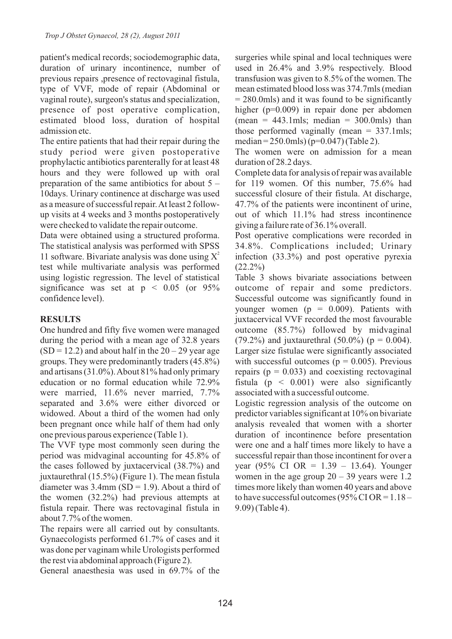patient's medical records; sociodemographic data, duration of urinary incontinence, number of previous repairs ,presence of rectovaginal fistula, type of VVF, mode of repair (Abdominal or vaginal route), surgeon's status and specialization, presence of post operative complication, estimated blood loss, duration of hospital admission etc.

The entire patients that had their repair during the study period were given postoperative prophylactic antibiotics parenterally for at least 48 hours and they were followed up with oral preparation of the same antibiotics for about 5 – 10days. Urinary continence at discharge was used as a measure of successful repair. At least 2 followup visits at 4 weeks and 3 months postoperatively were checked to validate the repair outcome.

Data were obtained using a structured proforma. The statistical analysis was performed with SPSS 11 software. Bivariate analysis was done using  $X^2$ test while multivariate analysis was performed using logistic regression. The level of statistical significance was set at  $p \leq 0.05$  (or 95%) confidence level).

### **RESULTS**

One hundred and fifty five women were managed during the period with a mean age of 32.8 years  $(SD = 12.2)$  and about half in the  $20 - 29$  year age groups. They were predominantly traders (45.8%) and artisans (31.0%). About 81% had only primary education or no formal education while 72.9% were married, 11.6% never married, 7.7% separated and 3.6% were either divorced or widowed. About a third of the women had only been pregnant once while half of them had only one previous parous experience (Table 1).

The VVF type most commonly seen during the period was midvaginal accounting for 45.8% of the cases followed by juxtacervical (38.7%) and juxtaurethral (15.5%) (Figure 1). The mean fistula diameter was  $3.4$ mm (SD = 1.9). About a third of the women (32.2%) had previous attempts at fistula repair. There was rectovaginal fistula in about 7.7% of the women.

The repairs were all carried out by consultants. Gynaecologists performed 61.7% of cases and it was done per vaginam while Urologists performed the rest via abdominal approach (Figure 2).

General anaesthesia was used in 69.7% of the

surgeries while spinal and local techniques were used in 26.4% and 3.9% respectively. Blood transfusion was given to 8.5% of the women. The mean estimated blood loss was 374.7mls (median  $= 280.0$ mls) and it was found to be significantly higher (p=0.009) in repair done per abdomen (mean =  $443.1 \text{mls}$ ; median =  $300.0 \text{mls}$ ) than those performed vaginally (mean  $= 337.1 \text{mls}$ ; median = 250.0mls) (p=0.047) (Table 2).

The women were on admission for a mean duration of 28.2 days.

Complete data for analysis of repair was available for 119 women. Of this number, 75.6% had successful closure of their fistula. At discharge, 47.7% of the patients were incontinent of urine, out of which 11.1% had stress incontinence giving a failure rate of 36.1% overall.

Post operative complications were recorded in 34.8%. Complications included; Urinary infection (33.3%) and post operative pyrexia  $(22.2\%)$ 

Table 3 shows bivariate associations between outcome of repair and some predictors. Successful outcome was significantly found in younger women ( $p = 0.009$ ). Patients with juxtacervical VVF recorded the most favourable outcome (85.7%) followed by midvaginal (79.2%) and juxtaurethral (50.0%) ( $p = 0.004$ ). Larger size fistulae were significantly associated with successful outcomes ( $p = 0.005$ ). Previous repairs ( $p = 0.033$ ) and coexisting rectovaginal fistula ( $p \leq 0.001$ ) were also significantly associated with a successful outcome.

Logistic regression analysis of the outcome on predictor variables significant at 10% on bivariate analysis revealed that women with a shorter duration of incontinence before presentation were one and a half times more likely to have a successful repair than those incontinent for over a year (95% CI OR = 1.39 – 13.64). Younger women in the age group  $20 - 39$  years were 1.2 times more likely than women 40 years and above to have successful outcomes (95% CI OR =  $1.18 -$ 9.09) (Table 4).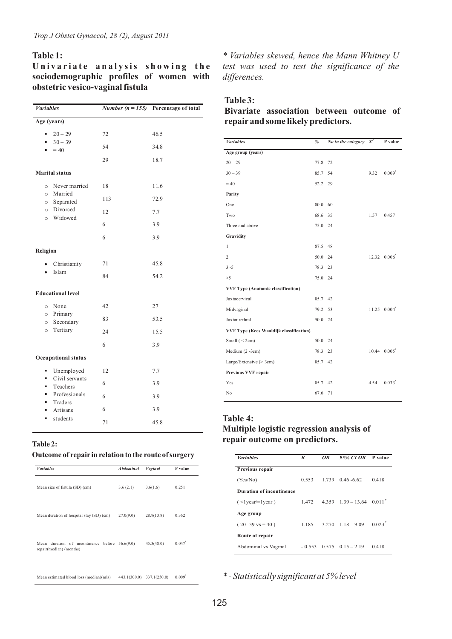### **Table 1:**

Univariate analysis showing the **sociodemographic profiles of women with obstetric vesico-vaginal fistula**

| <b>Variables</b>                               |     | <i>Number</i> ( $n = 155$ ) Percentage of total |
|------------------------------------------------|-----|-------------------------------------------------|
| Age (years)                                    |     |                                                 |
| $20 - 29$<br>٠<br>$30 - 39$<br>٠               | 72  | 46.5                                            |
| $= 40$<br>٠                                    | 54  | 34.8                                            |
|                                                | 29  | 18.7                                            |
| <b>Marital</b> status                          |     |                                                 |
| Never married<br>$\circ$<br>Married<br>$\circ$ | 18  | 11.6                                            |
| o Separated                                    | 113 | 72.9                                            |
| o Divorced<br>Widowed<br>$\circ$               | 12  | 7.7                                             |
|                                                | 6   | 3.9                                             |
|                                                | 6   | 3.9                                             |
| Religion                                       |     |                                                 |
| Christianity                                   | 71  | 45.8                                            |
| Islam                                          | 84  | 54.2                                            |
| <b>Educational level</b>                       |     |                                                 |
| None<br>$\circ$                                | 42  | 27                                              |
| Primary<br>$\circ$<br>Secondary<br>$\circ$     | 83  | 53.5                                            |
| Tertiary<br>$\circ$                            | 24  | 15.5                                            |
|                                                | 6   | 3.9                                             |
| <b>Occupational status</b>                     |     |                                                 |
| Unemployed<br>٠                                | 12  | 7.7                                             |
| Civil servants<br>٠<br>Teachers<br>٠           | 6   | 3.9                                             |
| Professionals<br>٠<br>Traders<br>٠             | 6   | 3.9                                             |
| Artisans<br>٠                                  | 6   | 3.9                                             |
| students<br>٠                                  | 71  | 45.8                                            |

*\* Variables skewed, hence the Mann Whitney U test was used to test the significance of the differences.*

#### **Table 3:**

**Bivariate association between outcome of repair and some likely predictors.**

| <b><i>Variables</i></b>                        | %       | No in the category $X^2$ |      | P value                          |
|------------------------------------------------|---------|--------------------------|------|----------------------------------|
| Age group (years)                              |         |                          |      |                                  |
| $20 - 29$                                      | 77.8 72 |                          |      |                                  |
| $30 - 39$                                      | 85.7 54 |                          | 9.32 | $0.009*$                         |
| $= 40$                                         | 52.2 29 |                          |      |                                  |
| Parity                                         |         |                          |      |                                  |
| One                                            | 80.0 60 |                          |      |                                  |
| Two                                            | 68.6 35 |                          | 1.57 | 0.457                            |
| Three and above                                | 75.0 24 |                          |      |                                  |
| Gravidity                                      |         |                          |      |                                  |
| $\mathbf{1}$                                   | 87.5 48 |                          |      |                                  |
| $\overline{c}$                                 | 50.0 24 |                          |      | $12.32 \quad 0.006^*$            |
| $3 - 5$                                        | 78.3 23 |                          |      |                                  |
| >5                                             | 75.0 24 |                          |      |                                  |
| <b>VVF Type (Anatomic classification)</b>      |         |                          |      |                                  |
| Juxtacervical                                  | 85.7 42 |                          |      |                                  |
| Midvaginal                                     | 79.2 53 |                          |      | $11.25$ 0.004 <sup>*</sup>       |
| Juxtaurethral                                  | 50.0 24 |                          |      |                                  |
| <b>VVF Type (Kees Waaldijk classification)</b> |         |                          |      |                                  |
| Small $(< 2cm)$                                | 50.0 24 |                          |      |                                  |
| Medium $(2 - 3cm)$                             | 78.3 23 |                          |      | $10.44 \quad 0.005$ <sup>*</sup> |
| Large/Extensive $(>3cm)$                       | 85.7 42 |                          |      |                                  |
| Previous VVF repair                            |         |                          |      |                                  |
| Yes                                            | 85.7 42 |                          | 4.54 | $0.033$ <sup>*</sup>             |
| N <sub>o</sub>                                 | 67.6 71 |                          |      |                                  |
|                                                |         |                          |      |                                  |

#### **Table 4:**

# **Multiple logistic regression analysis of repair outcome on predictors.**

| <b><i>Variables</i></b>    | B        | OR    | 95% CLOR P value          |                      |
|----------------------------|----------|-------|---------------------------|----------------------|
| Previous repair            |          |       |                           |                      |
| (Yes/No)                   | 0.553    | 1.739 | $0.46 - 6.62$             | 0.418                |
| Duration of incontinence   |          |       |                           |                      |
| $($ <1 year/=1 year)       | 1.472    |       | $4.359$ $1.39 - 13.64$    | $0.011$ <sup>*</sup> |
| Age group                  |          |       |                           |                      |
| $(20 - 39 \text{ vs } 40)$ | 1.185    |       | $3.270$ $1.18 - 9.09$     | 0.023                |
| Route of repair            |          |       |                           |                      |
| Abdominal vs Vaginal       | $-0.553$ |       | $0.575 \quad 0.15 - 2.19$ | 0.418                |

*\* - Statistically significant at 5% level*

# **Table 2:**

### **Outcome of repair in relation to the route of surgery**

| <b><i>Variables</i></b>                                                   | <b>Abdominal</b> | Vaginal                   | P value              |
|---------------------------------------------------------------------------|------------------|---------------------------|----------------------|
| Mean size of fistula (SD) (cm)                                            | 3.6(2.1)         | 3.6(1.6)                  | 0.251                |
| Mean duration of hospital stay (SD) (cm)                                  | 27.0(9.0)        | 28.9(13.8)                | 0.362                |
| Mean duration of incontinence before 56.6(9.0)<br>repair(median) (months) |                  | 45.3(48.0)                | 0.047                |
| Mean estimated blood loss (median)(mls)                                   |                  | 443.1(300.0) 337.1(250.0) | $0.009$ <sup>*</sup> |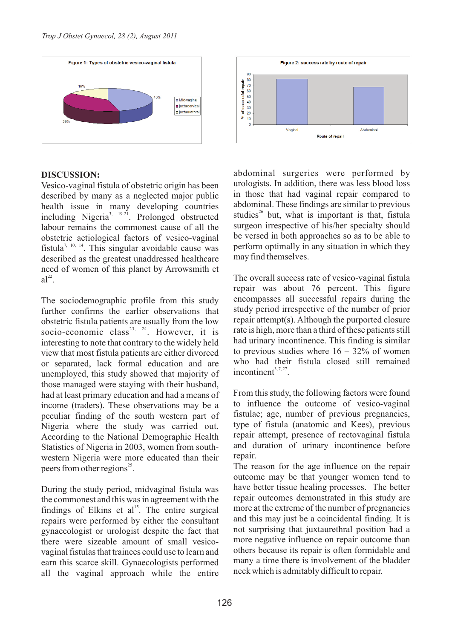

### **DISCUSSION:**

Vesico-vaginal fistula of obstetric origin has been described by many as a neglected major public health issue in many developing countries including Nigeria<sup>3, 19-21</sup>. Prolonged obstructed labour remains the commonest cause of all the obstetric aetiological factors of vesico-vaginal fistula<sup>7, 10, 14</sup>. This singular avoidable cause was described as the greatest unaddressed healthcare need of women of this planet by Arrowsmith et  $a^{\frac{2}{2}}$ 

The sociodemographic profile from this study further confirms the earlier observations that obstetric fistula patients are usually from the low socio-economic class<sup>23, 24</sup>. However, it is interesting to note that contrary to the widely held view that most fistula patients are either divorced or separated, lack formal education and are unemployed, this study showed that majority of those managed were staying with their husband, had at least primary education and had a means of income (traders). These observations may be a peculiar finding of the south western part of Nigeria where the study was carried out. According to the National Demographic Health Statistics of Nigeria in 2003, women from southwestern Nigeria were more educated than their peers from other regions<sup>25</sup>.

During the study period, midvaginal fistula was the commonest and this was in agreement with the findings of Elkins et al<sup>15</sup>. The entire surgical repairs were performed by either the consultant gynaecologist or urologist despite the fact that there were sizeable amount of small vesicovaginal fistulas that trainees could use to learn and earn this scarce skill. Gynaecologists performed all the vaginal approach while the entire



abdominal surgeries were performed by urologists. In addition, there was less blood loss in those that had vaginal repair compared to abdominal. These findings are similar to previous studies<sup>26</sup> but, what is important is that, fistula surgeon irrespective of his/her specialty should be versed in both approaches so as to be able to perform optimally in any situation in which they may find themselves.

The overall success rate of vesico-vaginal fistula repair was about 76 percent. This figure encompasses all successful repairs during the study period irrespective of the number of prior repair attempt(s). Although the purported closure rate is high, more than a third of these patients still had urinary incontinence. This finding is similar to previous studies where  $16 - 32\%$  of women who had their fistula closed still remained  $incontinent^{3,7,27}$ 

From this study, the following factors were found to influence the outcome of vesico-vaginal fistulae; age, number of previous pregnancies, type of fistula (anatomic and Kees), previous repair attempt, presence of rectovaginal fistula and duration of urinary incontinence before repair.

The reason for the age influence on the repair outcome may be that younger women tend to have better tissue healing processes. The better repair outcomes demonstrated in this study are more at the extreme of the number of pregnancies and this may just be a coincidental finding. It is not surprising that juxtaurethral position had a more negative influence on repair outcome than others because its repair is often formidable and many a time there is involvement of the bladder neck which is admitably difficult to repair.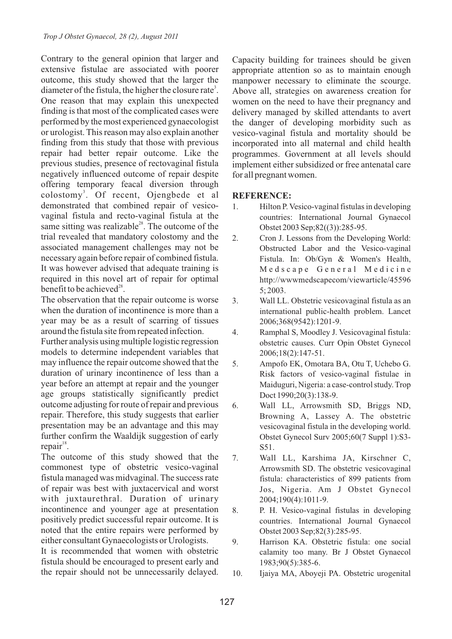Contrary to the general opinion that larger and extensive fistulae are associated with poorer outcome, this study showed that the larger the diameter of the fistula, the higher the closure rate<sup>3</sup>. One reason that may explain this unexpected finding is that most of the complicated cases were performed by the most experienced gynaecologist or urologist. This reason may also explain another finding from this study that those with previous repair had better repair outcome. Like the previous studies, presence of rectovaginal fistula negatively influenced outcome of repair despite offering temporary feacal diversion through colostomy<sup>3</sup>. Of recent, Ojengbede et al demonstrated that combined repair of vesicovaginal fistula and recto-vaginal fistula at the same sitting was realizable<sup>28</sup>. The outcome of the trial revealed that mandatory colostomy and the associated management challenges may not be necessary again before repair of combined fistula. It was however advised that adequate training is required in this novel art of repair for optimal benefit to be achieved $^{28}$ .

The observation that the repair outcome is worse when the duration of incontinence is more than a year may be as a result of scarring of tissues around the fistula site from repeated infection.

Further analysis using multiple logistic regression models to determine independent variables that may influence the repair outcome showed that the duration of urinary incontinence of less than a year before an attempt at repair and the younger age groups statistically significantly predict outcome adjusting for route of repair and previous repair. Therefore, this study suggests that earlier presentation may be an advantage and this may further confirm the Waaldijk suggestion of early  $repair<sup>18</sup>$ .

The outcome of this study showed that the commonest type of obstetric vesico-vaginal fistula managed was midvaginal. The success rate of repair was best with juxtacervical and worst with juxtaurethral. Duration of urinary incontinence and younger age at presentation positively predict successful repair outcome. It is noted that the entire repairs were performed by either consultant Gynaecologists or Urologists. It is recommended that women with obstetric

fistula should be encouraged to present early and the repair should not be unnecessarily delayed. Capacity building for trainees should be given appropriate attention so as to maintain enough manpower necessary to eliminate the scourge. Above all, strategies on awareness creation for women on the need to have their pregnancy and delivery managed by skilled attendants to avert the danger of developing morbidity such as vesico-vaginal fistula and mortality should be incorporated into all maternal and child health programmes. Government at all levels should implement either subsidized or free antenatal care for all pregnant women.

### **REFERENCE:**

- 1. Hilton P. Vesico-vaginal fistulas in developing countries: International Journal Gynaecol Obstet 2003 Sep;82((3)):285-95.
- 2. Cron J. Lessons from the Developing World: Obstructed Labor and the Vesico-vaginal Fistula. In: Ob/Gyn & Women's Health, Medscape General Medicine http://wwwmedscapecom/viewarticle/45596 5; 2003.
- 3. Wall LL. Obstetric vesicovaginal fistula as an international public-health problem. Lancet 2006;368(9542):1201-9.
- 4. Ramphal S, Moodley J. Vesicovaginal fistula: obstetric causes. Curr Opin Obstet Gynecol 2006;18(2):147-51.
- 5. Ampofo EK, Omotara BA, Otu T, Uchebo G. Risk factors of vesico-vaginal fistulae in Maiduguri, Nigeria: a case-control study. Trop Doct 1990;20(3):138-9.
- 6. Wall LL, Arrowsmith SD, Briggs ND, Browning A, Lassey A. The obstetric vesicovaginal fistula in the developing world. Obstet Gynecol Surv 2005;60(7 Suppl 1):S3- S51.
- 7. Wall LL, Karshima JA, Kirschner C, Arrowsmith SD. The obstetric vesicovaginal fistula: characteristics of 899 patients from Jos, Nigeria. Am J Obstet Gynecol 2004;190(4):1011-9.
- 8. P. H. Vesico-vaginal fistulas in developing countries. International Journal Gynaecol Obstet 2003 Sep;82(3):285-95.
- 9. Harrison KA. Obstetric fistula: one social calamity too many. Br J Obstet Gynaecol 1983;90(5):385-6.
- 10. Ijaiya MA, Aboyeji PA. Obstetric urogenital